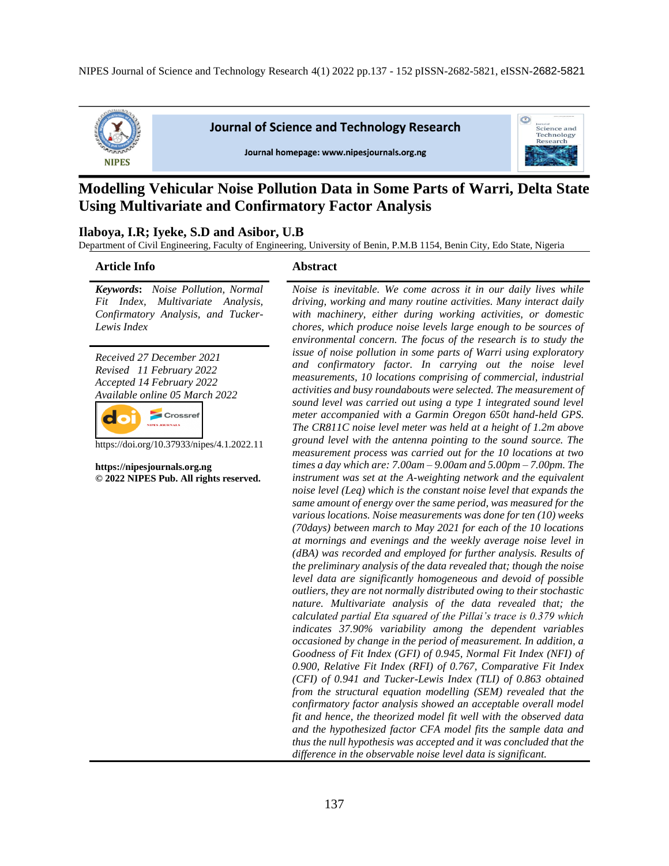

**Journal of Science and Technology Research** 

Journal homepage: www.nipesjournals.org.ng



# **Modelling Vehicular Noise Pollution Data in Some Parts of Warri, Delta State Using Multivariate and Confirmatory Factor Analysis**

#### **Ilaboya, I.R; Iyeke, S.D and Asibor, U.B**

Department of Civil Engineering, Faculty of Engineering, University of Benin, P.M.B 1154, Benin City, Edo State, Nigeria

#### **Article Info Abstract**

*Keywords***:** *Noise Pollution, Normal Fit Index, Multivariate Analysis, Confirmatory Analysis, and Tucker-Lewis Index* 

*Received 27 December 2021 Revised 11 February 2022 Accepted 14 February 2022 Available online 05 March 2022*



https://doi.org/10.37933/nipes/4.1.2022.11

**https://nipesjournals.org.ng © 2022 NIPES Pub. All rights reserved.**

*Noise is inevitable. We come across it in our daily lives while driving, working and many routine activities. Many interact daily with machinery, either during working activities, or domestic chores, which produce noise levels large enough to be sources of environmental concern. The focus of the research is to study the issue of noise pollution in some parts of Warri using exploratory and confirmatory factor. In carrying out the noise level measurements, 10 locations comprising of commercial, industrial activities and busy roundabouts were selected. The measurement of sound level was carried out using a type 1 integrated sound level meter accompanied with a Garmin Oregon 650t hand-held GPS. The CR811C noise level meter was held at a height of 1.2m above ground level with the antenna pointing to the sound source. The measurement process was carried out for the 10 locations at two times a day which are: 7.00am – 9.00am and 5.00pm – 7.00pm. The instrument was set at the A-weighting network and the equivalent noise level (Leq) which is the constant noise level that expands the same amount of energy over the same period, was measured for the various locations. Noise measurements was done for ten (10) weeks (70days) between march to May 2021 for each of the 10 locations at mornings and evenings and the weekly average noise level in (dBA) was recorded and employed for further analysis. Results of the preliminary analysis of the data revealed that; though the noise level data are significantly homogeneous and devoid of possible outliers, they are not normally distributed owing to their stochastic nature. Multivariate analysis of the data revealed that; the calculated partial Eta squared of the Pillai's trace is 0.379 which indicates 37.90% variability among the dependent variables occasioned by change in the period of measurement. In addition, a Goodness of Fit Index (GFI) of 0.945, Normal Fit Index (NFI) of 0.900, Relative Fit Index (RFI) of 0.767, Comparative Fit Index (CFI) of 0.941 and Tucker-Lewis Index (TLI) of 0.863 obtained from the structural equation modelling (SEM) revealed that the confirmatory factor analysis showed an acceptable overall model fit and hence, the theorized model fit well with the observed data and the hypothesized factor CFA model fits the sample data and thus the null hypothesis was accepted and it was concluded that the difference in the observable noise level data is significant.*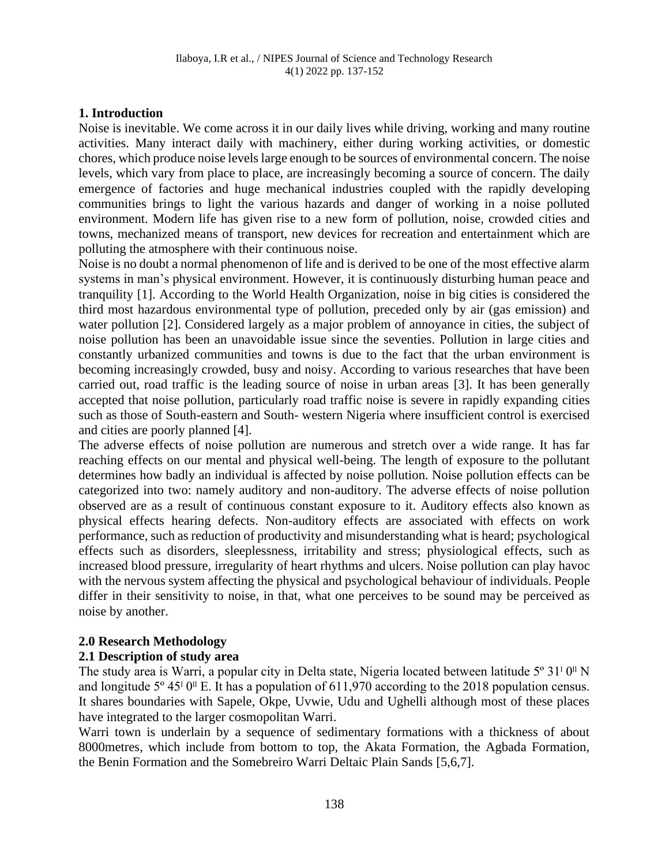#### **1. Introduction**

Noise is inevitable. We come across it in our daily lives while driving, working and many routine activities. Many interact daily with machinery, either during working activities, or domestic chores, which produce noise levels large enough to be sources of environmental concern. The noise levels, which vary from place to place, are increasingly becoming a source of concern. The daily emergence of factories and huge mechanical industries coupled with the rapidly developing communities brings to light the various hazards and danger of working in a noise polluted environment. Modern life has given rise to a new form of pollution, noise, crowded cities and towns, mechanized means of transport, new devices for recreation and entertainment which are polluting the atmosphere with their continuous noise.

Noise is no doubt a normal phenomenon of life and is derived to be one of the most effective alarm systems in man's physical environment. However, it is continuously disturbing human peace and tranquility [1]. According to the World Health Organization, noise in big cities is considered the third most hazardous environmental type of pollution, preceded only by air (gas emission) and water pollution [2]. Considered largely as a major problem of annoyance in cities, the subject of noise pollution has been an unavoidable issue since the seventies. Pollution in large cities and constantly urbanized communities and towns is due to the fact that the urban environment is becoming increasingly crowded, busy and noisy. According to various researches that have been carried out, road traffic is the leading source of noise in urban areas [3]. It has been generally accepted that noise pollution, particularly road traffic noise is severe in rapidly expanding cities such as those of South-eastern and South- western Nigeria where insufficient control is exercised and cities are poorly planned [4].

The adverse effects of noise pollution are numerous and stretch over a wide range. It has far reaching effects on our mental and physical well-being. The length of exposure to the pollutant determines how badly an individual is affected by noise pollution. Noise pollution effects can be categorized into two: namely auditory and non-auditory. The adverse effects of noise pollution observed are as a result of continuous constant exposure to it. Auditory effects also known as physical effects hearing defects. Non-auditory effects are associated with effects on work performance, such as reduction of productivity and misunderstanding what is heard; psychological effects such as disorders, sleeplessness, irritability and stress; physiological effects, such as increased blood pressure, irregularity of heart rhythms and ulcers. Noise pollution can play havoc with the nervous system affecting the physical and psychological behaviour of individuals. People differ in their sensitivity to noise, in that, what one perceives to be sound may be perceived as noise by another.

#### **2.0 Research Methodology**

# **2.1 Description of study area**

The study area is Warri, a popular city in Delta state, Nigeria located between latitude 5<sup>°</sup> 31<sup>1</sup> 0<sup>II</sup> N and longitude  $5^{\circ}$  45<sup> $\circ$ </sup> 0<sup> $\text{II}$ </sup> E. It has a population of 611,970 according to the 2018 population census. It shares boundaries with Sapele, Okpe, Uvwie, Udu and Ughelli although most of these places have integrated to the larger cosmopolitan Warri.

Warri town is underlain by a sequence of sedimentary formations with a thickness of about 8000metres, which include from bottom to top, the Akata Formation, the Agbada Formation, the Benin Formation and the Somebreiro Warri Deltaic Plain Sands [5,6,7].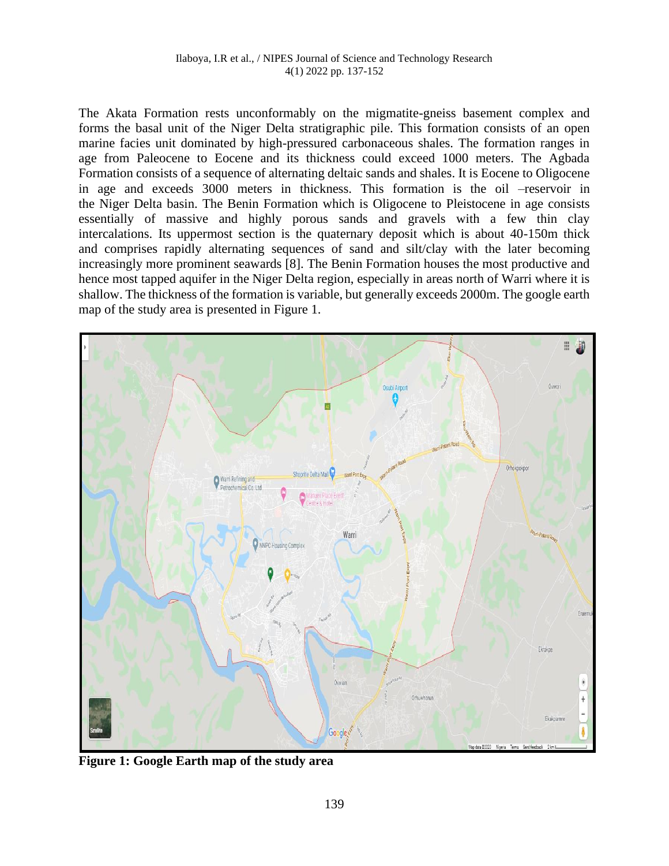The Akata Formation rests unconformably on the migmatite-gneiss basement complex and forms the basal unit of the Niger Delta stratigraphic pile. This formation consists of an open marine facies unit dominated by high-pressured carbonaceous shales. The formation ranges in age from Paleocene to Eocene and its thickness could exceed 1000 meters. The Agbada Formation consists of a sequence of alternating deltaic sands and shales. It is Eocene to Oligocene in age and exceeds 3000 meters in thickness. This formation is the oil –reservoir in the Niger Delta basin. The Benin Formation which is Oligocene to Pleistocene in age consists essentially of massive and highly porous sands and gravels with a few thin clay intercalations. Its uppermost section is the quaternary deposit which is about 40-150m thick and comprises rapidly alternating sequences of sand and silt/clay with the later becoming increasingly more prominent seawards [8]. The Benin Formation houses the most productive and hence most tapped aquifer in the Niger Delta region, especially in areas north of Warri where it is shallow. The thickness of the formation is variable, but generally exceeds 2000m. The google earth map of the study area is presented in Figure 1.



**Figure 1: Google Earth map of the study area**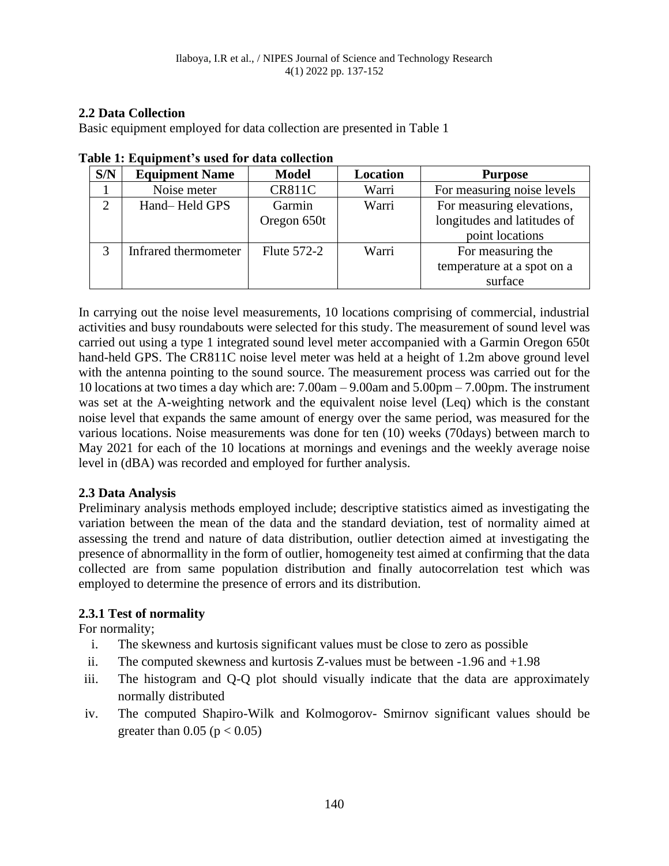### **2.2 Data Collection**

Basic equipment employed for data collection are presented in Table 1

| S/N           | <b>Equipment Name</b> | <b>Model</b>       | Location | <b>Purpose</b>              |
|---------------|-----------------------|--------------------|----------|-----------------------------|
|               | Noise meter           | <b>CR811C</b>      | Warri    | For measuring noise levels  |
| $\mathcal{D}$ | Hand-Held GPS         | Garmin             | Warri    | For measuring elevations,   |
|               |                       | Oregon 650t        |          | longitudes and latitudes of |
|               |                       |                    |          | point locations             |
|               | Infrared thermometer  | <b>Flute 572-2</b> | Warri    | For measuring the           |
|               |                       |                    |          | temperature at a spot on a  |
|               |                       |                    |          | surface                     |

| Table 1: Equipment's used for data collection |  |  |  |  |  |  |  |  |
|-----------------------------------------------|--|--|--|--|--|--|--|--|
|-----------------------------------------------|--|--|--|--|--|--|--|--|

In carrying out the noise level measurements, 10 locations comprising of commercial, industrial activities and busy roundabouts were selected for this study. The measurement of sound level was carried out using a type 1 integrated sound level meter accompanied with a Garmin Oregon 650t hand-held GPS. The CR811C noise level meter was held at a height of 1.2m above ground level with the antenna pointing to the sound source. The measurement process was carried out for the 10 locations at two times a day which are: 7.00am – 9.00am and 5.00pm – 7.00pm. The instrument was set at the A-weighting network and the equivalent noise level (Leq) which is the constant noise level that expands the same amount of energy over the same period, was measured for the various locations. Noise measurements was done for ten (10) weeks (70days) between march to May 2021 for each of the 10 locations at mornings and evenings and the weekly average noise level in (dBA) was recorded and employed for further analysis.

# **2.3 Data Analysis**

Preliminary analysis methods employed include; descriptive statistics aimed as investigating the variation between the mean of the data and the standard deviation, test of normality aimed at assessing the trend and nature of data distribution, outlier detection aimed at investigating the presence of abnormallity in the form of outlier, homogeneity test aimed at confirming that the data collected are from same population distribution and finally autocorrelation test which was employed to determine the presence of errors and its distribution.

# **2.3.1 Test of normality**

For normality;

- i. The skewness and kurtosis significant values must be close to zero as possible
- ii. The computed skewness and kurtosis Z-values must be between -1.96 and +1.98
- iii. The histogram and Q-Q plot should visually indicate that the data are approximately normally distributed
- iv. The computed Shapiro-Wilk and Kolmogorov- Smirnov significant values should be greater than  $0.05$  ( $p < 0.05$ )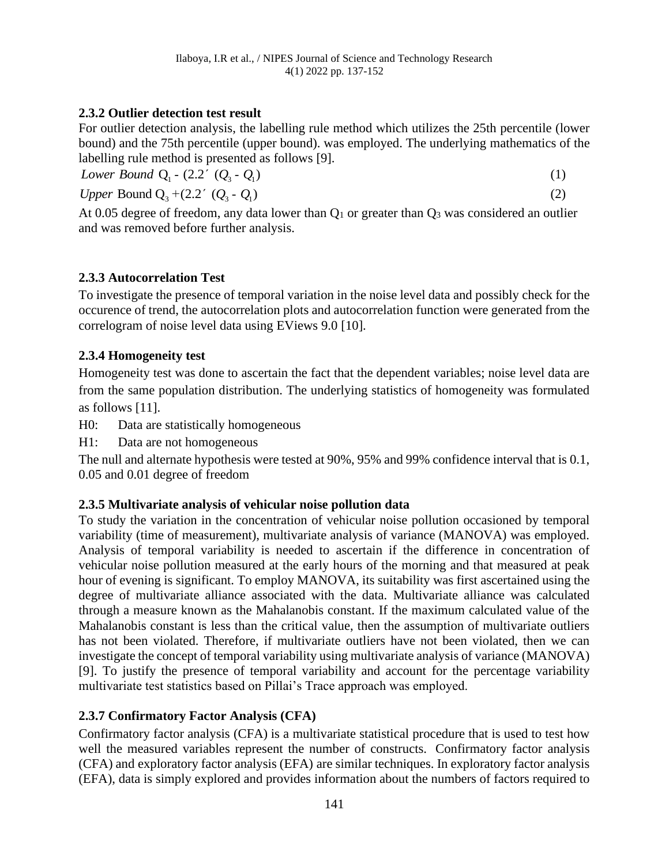# **2.3.2 Outlier detection test result**

For outlier detection analysis, the labelling rule method which utilizes the 25th percentile (lower bound) and the 75th percentile (upper bound). was employed. The underlying mathematics of the labelling rule method is presented as follows [9].

*Lower Bound Q<sub>1</sub> -*  $(2.2' (Q_3 - Q_1))$ (1) *Upper Bound Q*<sub>3</sub> +  $(2.2'$  (*Q*<sub>3</sub> - *Q*<sub>1</sub>) (2)

At 0.05 degree of freedom, any data lower than  $Q_1$  or greater than  $Q_3$  was considered an outlier and was removed before further analysis.

# **2.3.3 Autocorrelation Test**

To investigate the presence of temporal variation in the noise level data and possibly check for the occurence of trend, the autocorrelation plots and autocorrelation function were generated from the correlogram of noise level data using EViews 9.0 [10].

# **2.3.4 Homogeneity test**

Homogeneity test was done to ascertain the fact that the dependent variables; noise level data are from the same population distribution. The underlying statistics of homogeneity was formulated as follows [11].

H0: Data are statistically homogeneous

H1: Data are not homogeneous

The null and alternate hypothesis were tested at 90%, 95% and 99% confidence interval that is 0.1, 0.05 and 0.01 degree of freedom

# **2.3.5 Multivariate analysis of vehicular noise pollution data**

To study the variation in the concentration of vehicular noise pollution occasioned by temporal variability (time of measurement), multivariate analysis of variance (MANOVA) was employed. Analysis of temporal variability is needed to ascertain if the difference in concentration of vehicular noise pollution measured at the early hours of the morning and that measured at peak hour of evening is significant. To employ MANOVA, its suitability was first ascertained using the degree of multivariate alliance associated with the data. Multivariate alliance was calculated through a measure known as the Mahalanobis constant. If the maximum calculated value of the Mahalanobis constant is less than the critical value, then the assumption of multivariate outliers has not been violated. Therefore, if multivariate outliers have not been violated, then we can investigate the concept of temporal variability using multivariate analysis of variance (MANOVA) [9]. To justify the presence of temporal variability and account for the percentage variability multivariate test statistics based on Pillai's Trace approach was employed.

# **2.3.7 Confirmatory Factor Analysis (CFA)**

Confirmatory factor analysis (CFA) is a multivariate statistical procedure that is used to test how well the measured variables represent the number of constructs. Confirmatory factor analysis (CFA) and exploratory factor analysis (EFA) are similar techniques. In exploratory factor analysis (EFA), data is simply explored and provides information about the numbers of factors required to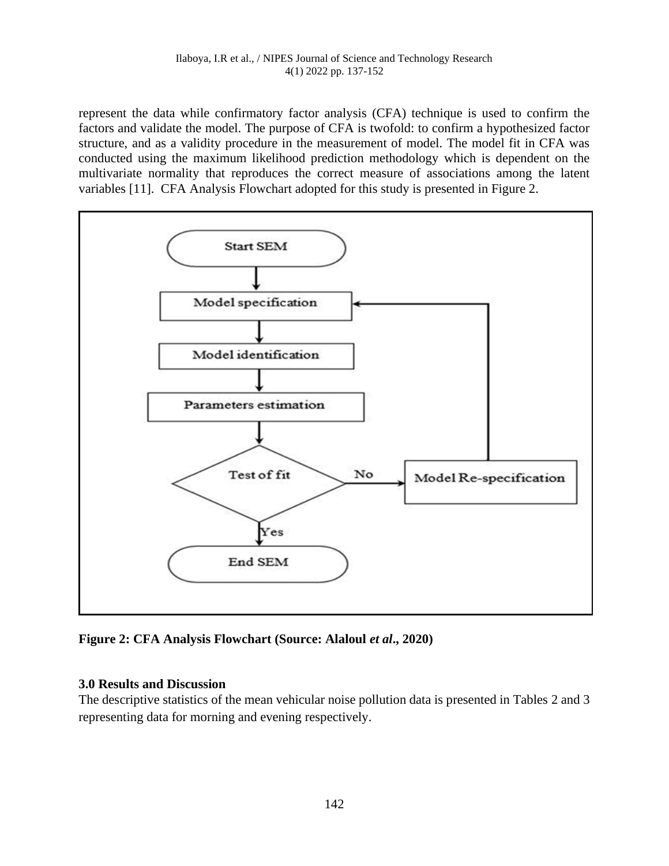represent the data while confirmatory factor analysis (CFA) technique is used to confirm the factors and validate the model. The purpose of CFA is twofold: to confirm a hypothesized factor structure, and as a validity procedure in the measurement of model. The model fit in CFA was conducted using the maximum likelihood prediction methodology which is dependent on the multivariate normality that reproduces the correct measure of associations among the latent variables [11]. CFA Analysis Flowchart adopted for this study is presented in Figure 2.



**Figure 2: CFA Analysis Flowchart (Source: Alaloul** *et al***., 2020)**

# **3.0 Results and Discussion**

The descriptive statistics of the mean vehicular noise pollution data is presented in Tables 2 and 3 representing data for morning and evening respectively.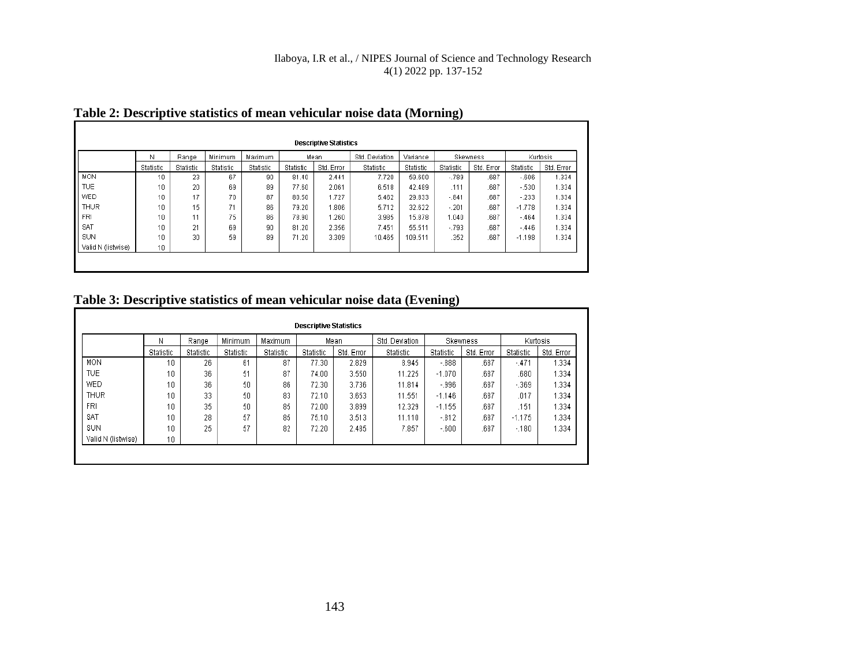# **Table 2: Descriptive statistics of mean vehicular noise data (Morning)**

|                    | Ν               | Range     | Minimum   | Maximum   |           | Mean       | Std. Deviation | Variance  |           | <b>Skewness</b> |           | Kurtosis   |
|--------------------|-----------------|-----------|-----------|-----------|-----------|------------|----------------|-----------|-----------|-----------------|-----------|------------|
|                    | Statistic       | Statistic | Statistic | Statistic | Statistic | Std. Error | Statistic      | Statistic | Statistic | Std. Error      | Statistic | Std. Error |
| <b>MON</b>         | 10              | 23        | 67        | 90        | 81.40     | 2.441      | 7.720          | 59.600    | $-.789$   | .687            | $-0.606$  | 1.334      |
| <b>TUE</b>         | 10              | 20        | 69        | 89        | 77.60     | 2.061      | 6.518          | 42.489    | .111      | .687            | $-530$    | 1.334      |
| <b>WED</b>         | 10              | 17        | 70        | 87        | 80.50     | 1.727      | 5.462          | 29.833    | $-.841$   | .687            | $-233$    | 1.334      |
| <b>THUR</b>        | 10              | 15        | 71        | 86        | 79.20     | .806       | 5.712          | 32.622    | $-.201$   | .687            | $-1.778$  | 1.334      |
| FRI                | 10              | 11        | 75        | 86        | 78.90     | .260       | 3.985          | 15.878    | 1.040     | .687            | $-464$    | 1.334      |
| SAT                | 10              | 21        | 69        | 90        | 81.20     | 2.356      | 7.451          | 55.511    | $-793$    | .687            | $-446$    | 1.334      |
| SUN                | 10              | 30        | 59        | 89        | 71.20     | 3.309      | 10.465         | 109.511   | .352      | .687            | $-1.198$  | 1.334      |
| Valid N (listwise) | 10 <sub>1</sub> |           |           |           |           |            |                |           |           |                 |           |            |

# **Table 3: Descriptive statistics of mean vehicular noise data (Evening)**

|                    | Ν         | Range     | Minimum   | <b>Maximum</b> |           | Mean       | Std. Deviation |           | Skewness   | Kurtosis  |            |
|--------------------|-----------|-----------|-----------|----------------|-----------|------------|----------------|-----------|------------|-----------|------------|
|                    | Statistic | Statistic | Statistic | Statistic      | Statistic | Std. Error |                | Statistic | Std. Error | Statistic | Std. Error |
| MON                | 10        | 26        | 61        | 87             | 77.30     | 2.829      | 8.945          | $-.888.$  | .687       | $-.471$   | 1.334      |
| <b>TUE</b>         | 10        | 36        | 51        | 87             | 74.00     | 3.550      | 11.225         | $-1.070$  | .687       | .680      | 1.334      |
| WED                | 10        | 36        | 50        | 86             | 72.30     | 3.736      | 11.814         | $-996$    | .687       | $-369$    | 1.334      |
| <b>THUR</b>        | 10        | 33        | 50        | 83             | 72.10     | 3.653      | 11.551         | $-1.146$  | .687       | .017      | 1.334      |
| FRI                | 10        | 35        | 50        | 85             | 72.00     | 3.899      | 12.329         | $-1.155$  | .687       | .151      | 1.334      |
| SAT                | 10        | 28        | 57        | 85             | 75.10     | 3.513      | 11.110         | $-0.812$  | .687       | $-1.175$  | 1.334      |
| SUN                | 10        | 25        | 57        | 82             | 72.20     | 2.485      | 7.857          | $-600$    | .687       | $-180$    | 1.334      |
| Valid N (listwise) | 10        |           |           |                |           |            |                |           |            |           |            |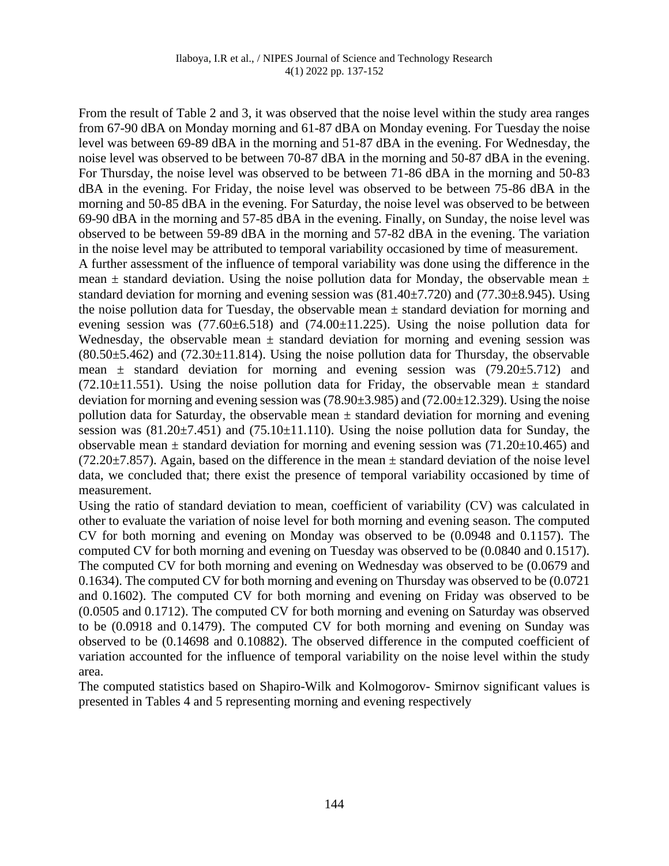From the result of Table 2 and 3, it was observed that the noise level within the study area ranges from 67-90 dBA on Monday morning and 61-87 dBA on Monday evening. For Tuesday the noise level was between 69-89 dBA in the morning and 51-87 dBA in the evening. For Wednesday, the noise level was observed to be between 70-87 dBA in the morning and 50-87 dBA in the evening. For Thursday, the noise level was observed to be between 71-86 dBA in the morning and 50-83 dBA in the evening. For Friday, the noise level was observed to be between 75-86 dBA in the morning and 50-85 dBA in the evening. For Saturday, the noise level was observed to be between 69-90 dBA in the morning and 57-85 dBA in the evening. Finally, on Sunday, the noise level was observed to be between 59-89 dBA in the morning and 57-82 dBA in the evening. The variation in the noise level may be attributed to temporal variability occasioned by time of measurement.

A further assessment of the influence of temporal variability was done using the difference in the mean  $\pm$  standard deviation. Using the noise pollution data for Monday, the observable mean  $\pm$ standard deviation for morning and evening session was  $(81.40\pm7.720)$  and  $(77.30\pm8.945)$ . Using the noise pollution data for Tuesday, the observable mean  $\pm$  standard deviation for morning and evening session was  $(77.60\pm6.518)$  and  $(74.00\pm11.225)$ . Using the noise pollution data for Wednesday, the observable mean  $\pm$  standard deviation for morning and evening session was  $(80.50\pm5.462)$  and  $(72.30\pm11.814)$ . Using the noise pollution data for Thursday, the observable mean  $\pm$  standard deviation for morning and evening session was (79.20 $\pm$ 5.712) and  $(72.10\pm11.551)$ . Using the noise pollution data for Friday, the observable mean  $\pm$  standard deviation for morning and evening session was  $(78.90\pm 3.985)$  and  $(72.00\pm 12.329)$ . Using the noise pollution data for Saturday, the observable mean  $\pm$  standard deviation for morning and evening session was  $(81.20 \pm 7.451)$  and  $(75.10 \pm 11.110)$ . Using the noise pollution data for Sunday, the observable mean  $\pm$  standard deviation for morning and evening session was (71.20 $\pm$ 10.465) and  $(72.20\pm7.857)$ . Again, based on the difference in the mean  $\pm$  standard deviation of the noise level data, we concluded that; there exist the presence of temporal variability occasioned by time of measurement.

Using the ratio of standard deviation to mean, coefficient of variability (CV) was calculated in other to evaluate the variation of noise level for both morning and evening season. The computed CV for both morning and evening on Monday was observed to be (0.0948 and 0.1157). The computed CV for both morning and evening on Tuesday was observed to be (0.0840 and 0.1517). The computed CV for both morning and evening on Wednesday was observed to be (0.0679 and 0.1634). The computed CV for both morning and evening on Thursday was observed to be (0.0721 and 0.1602). The computed CV for both morning and evening on Friday was observed to be (0.0505 and 0.1712). The computed CV for both morning and evening on Saturday was observed to be (0.0918 and 0.1479). The computed CV for both morning and evening on Sunday was observed to be (0.14698 and 0.10882). The observed difference in the computed coefficient of variation accounted for the influence of temporal variability on the noise level within the study area.

The computed statistics based on Shapiro-Wilk and Kolmogorov- Smirnov significant values is presented in Tables 4 and 5 representing morning and evening respectively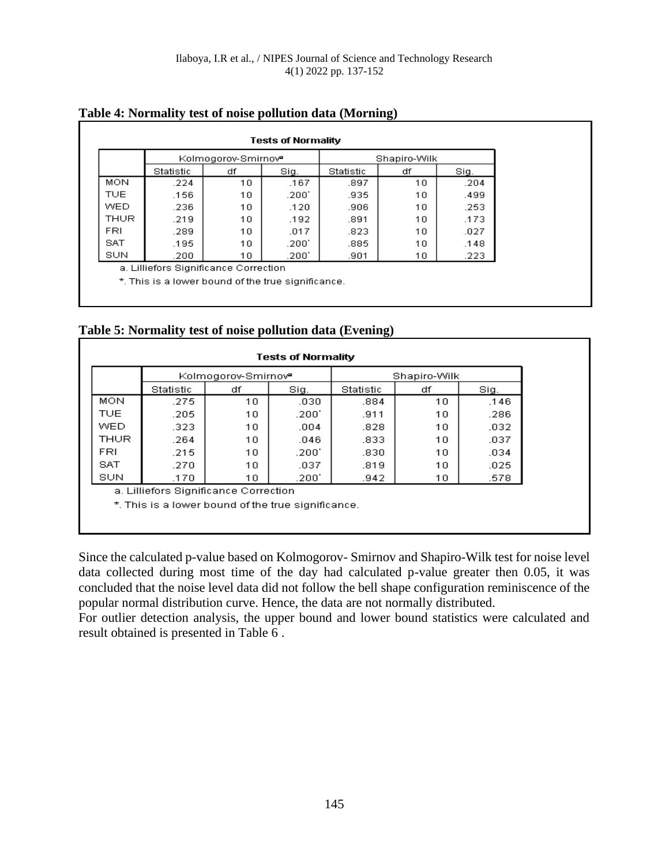|             | <b>Tests of Normality</b>             |                                 |       |              |    |      |  |  |  |  |
|-------------|---------------------------------------|---------------------------------|-------|--------------|----|------|--|--|--|--|
|             |                                       | Kolmogorov-Smirnov <sup>e</sup> |       | Shapiro-Wilk |    |      |  |  |  |  |
|             | Statistic                             | df                              | Sig.  | Statistic    | df | Sig. |  |  |  |  |
| <b>MON</b>  | .224                                  | 10                              | .167  | .897         | 10 | .204 |  |  |  |  |
| <b>TUE</b>  | .156                                  | 10                              | .200' | .935         | 10 | .499 |  |  |  |  |
| <b>WED</b>  | .236                                  | 10                              | .120  | .906         | 10 | .253 |  |  |  |  |
| <b>THUR</b> | .219                                  | 10                              | .192  | .891         | 10 | .173 |  |  |  |  |
| <b>FRI</b>  | .289                                  | 10                              | .017  | .823         | 10 | .027 |  |  |  |  |
| <b>SAT</b>  | .195                                  | 10                              | .200' | .885         | 10 | .148 |  |  |  |  |
| SUN         | .200                                  | 10                              | .200' | .901         | 10 | .223 |  |  |  |  |
|             | a. Lilliefors Significance Correction |                                 |       |              |    |      |  |  |  |  |
|             |                                       |                                 |       |              |    |      |  |  |  |  |

#### **Table 4: Normality test of noise pollution data (Morning)**

\*. This is a lower bound of the true significance.

|  |  |  | Table 5: Normality test of noise pollution data (Evening) |
|--|--|--|-----------------------------------------------------------|

|                                                   |                                                    | Kolmogorov-Smirnov <sup>e</sup> |       | Shapiro-Wilk |     |      |  |  |  |
|---------------------------------------------------|----------------------------------------------------|---------------------------------|-------|--------------|-----|------|--|--|--|
|                                                   | Statistic                                          | df                              | Sig.  | Statistic    | df  | Sig. |  |  |  |
| <b>MON</b>                                        | .275                                               | 10                              | .030  | .884         | 10  | .146 |  |  |  |
| <b>TUE</b>                                        | .205                                               | 10                              | .200' | .911         | 10  | .286 |  |  |  |
| WED.                                              | .323                                               | 10                              | .004  | .828         | 10. | .032 |  |  |  |
| THUR                                              | .264                                               | 10                              | .046  | .833         | 10  | .037 |  |  |  |
| FRI                                               | .215                                               | 10                              | .200' | .830         | 10  | .034 |  |  |  |
| SAT                                               | .270                                               | 10                              | .037  | .819         | 10  | .025 |  |  |  |
| SUN<br>.200'<br>.170<br>10.<br>.942<br>.578<br>10 |                                                    |                                 |       |              |     |      |  |  |  |
| a. Lilliefors Significance Correction             |                                                    |                                 |       |              |     |      |  |  |  |
|                                                   | *. This is a lower bound of the true significance. |                                 |       |              |     |      |  |  |  |

Since the calculated p-value based on Kolmogorov- Smirnov and Shapiro-Wilk test for noise level data collected during most time of the day had calculated p-value greater then 0.05, it was concluded that the noise level data did not follow the bell shape configuration reminiscence of the popular normal distribution curve. Hence, the data are not normally distributed.

For outlier detection analysis, the upper bound and lower bound statistics were calculated and result obtained is presented in Table 6 .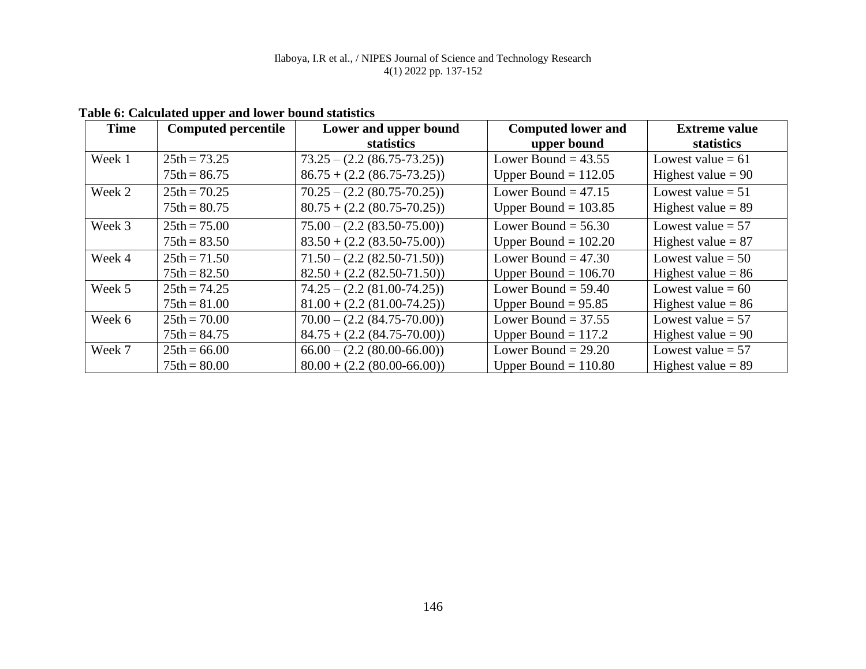| <b>Time</b> | <b>Computed percentile</b> | Lower and upper bound           | <b>Computed lower and</b> | <b>Extreme value</b> |
|-------------|----------------------------|---------------------------------|---------------------------|----------------------|
|             |                            | statistics                      | upper bound               | statistics           |
| Week 1      | $25th = 73.25$             | $73.25 - (2.2 (86.75 - 73.25))$ | Lower Bound = $43.55$     | Lowest value $= 61$  |
|             | $75th = 86.75$             | $86.75 + (2.2 (86.75 - 73.25))$ | Upper Bound $= 112.05$    | Highest value $= 90$ |
| Week 2      | $25th = 70.25$             | $70.25 - (2.2 (80.75 - 70.25))$ | Lower Bound = $47.15$     | Lowest value $= 51$  |
|             | $75th = 80.75$             | $80.75 + (2.2 (80.75 - 70.25))$ | Upper Bound = $103.85$    | Highest value $= 89$ |
| Week 3      | $25th = 75.00$             | $75.00 - (2.2 (83.50 - 75.00))$ | Lower Bound = $56.30$     | Lowest value $= 57$  |
|             | $75th = 83.50$             | $83.50 + (2.2 (83.50 - 75.00))$ | Upper Bound = $102.20$    | Highest value $= 87$ |
| Week 4      | $25th = 71.50$             | $71.50 - (2.2 (82.50 - 71.50))$ | Lower Bound = $47.30$     | Lowest value $= 50$  |
|             | $75th = 82.50$             | $82.50 + (2.2 (82.50 - 71.50))$ | Upper Bound = $106.70$    | Highest value $= 86$ |
| Week 5      | $25th = 74.25$             | $74.25 - (2.2 (81.00 - 74.25))$ | Lower Bound $=$ 59.40     | Lowest value $= 60$  |
|             | $75th = 81.00$             | $81.00 + (2.2 (81.00 - 74.25))$ | Upper Bound = $95.85$     | Highest value $= 86$ |
| Week 6      | $25th = 70.00$             | $70.00 - (2.2 (84.75 - 70.00))$ | Lower Bound = $37.55$     | Lowest value $= 57$  |
|             | $75th = 84.75$             | $84.75 + (2.2 (84.75 - 70.00))$ | Upper Bound $= 117.2$     | Highest value $= 90$ |
| Week 7      | $25th = 66.00$             | $66.00 - (2.2 (80.00-66.00))$   | Lower Bound = $29.20$     | Lowest value $= 57$  |
|             | $75th = 80.00$             | $80.00 + (2.2 (80.00-66.00))$   | Upper Bound $= 110.80$    | Highest value $= 89$ |

**Table 6: Calculated upper and lower bound statistics**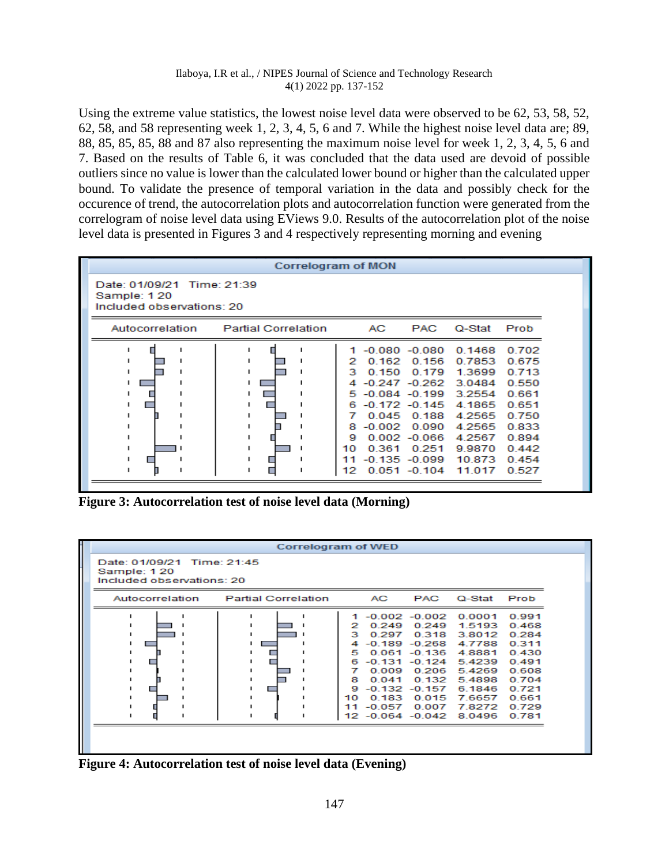Using the extreme value statistics, the lowest noise level data were observed to be 62, 53, 58, 52, 62, 58, and 58 representing week 1, 2, 3, 4, 5, 6 and 7. While the highest noise level data are; 89, 88, 85, 85, 85, 88 and 87 also representing the maximum noise level for week 1, 2, 3, 4, 5, 6 and 7. Based on the results of Table 6, it was concluded that the data used are devoid of possible outliers since no value is lower than the calculated lower bound or higher than the calculated upper bound. To validate the presence of temporal variation in the data and possibly check for the occurence of trend, the autocorrelation plots and autocorrelation function were generated from the correlogram of noise level data using EViews 9.0. Results of the autocorrelation plot of the noise level data is presented in Figures 3 and 4 respectively representing morning and evening

| Correlogram of MON                                                     |                            |                                                                                                                                                                                                                              |                                                 |                                                                                                                      |                                                                                                          |  |  |  |
|------------------------------------------------------------------------|----------------------------|------------------------------------------------------------------------------------------------------------------------------------------------------------------------------------------------------------------------------|-------------------------------------------------|----------------------------------------------------------------------------------------------------------------------|----------------------------------------------------------------------------------------------------------|--|--|--|
| Date: 01/09/21 Time: 21:39<br>Sample: 120<br>Included observations: 20 |                            |                                                                                                                                                                                                                              |                                                 |                                                                                                                      |                                                                                                          |  |  |  |
| Autocorrelation                                                        | <b>Partial Correlation</b> | AC.                                                                                                                                                                                                                          | <b>PAC</b>                                      | Q-Stat                                                                                                               | Prob                                                                                                     |  |  |  |
|                                                                        |                            | $-0.080 - 0.080$<br>0.162<br>2<br>0.150<br>з<br>4 -0.247 -0.262<br>5 -0.084 -0.199<br>$-0.172 - 0.145$<br>6.<br>7<br>$-0.002$<br>8<br>$0.002 - 0.066$<br>9<br>0.361<br>10<br>$-0.135 - 0.099$<br>11<br>$0.051 - 0.104$<br>12 | 0.156<br>0.179<br>0.045 0.188<br>0.090<br>0.251 | 0.1468<br>0.7853<br>1.3699<br>3.0484<br>3.2554<br>4.1865<br>4.2565<br>4.2565<br>4.2567<br>9.9870<br>10.873<br>11.017 | 0.702<br>0.675<br>0.713<br>0.550<br>0.661<br>0.651<br>0.750<br>0.833<br>0.894<br>0.442<br>0.454<br>0.527 |  |  |  |

**Figure 3: Autocorrelation test of noise level data (Morning)**

| <b>Correlogram of WED</b>                                              |                                                     |                                                       |                                                                                                                                                 |                                                                                                                                       |                                                                                                          |  |  |  |  |
|------------------------------------------------------------------------|-----------------------------------------------------|-------------------------------------------------------|-------------------------------------------------------------------------------------------------------------------------------------------------|---------------------------------------------------------------------------------------------------------------------------------------|----------------------------------------------------------------------------------------------------------|--|--|--|--|
| Date: 01/09/21 Time: 21:45<br>Sample: 120<br>Included observations: 20 |                                                     |                                                       |                                                                                                                                                 |                                                                                                                                       |                                                                                                          |  |  |  |  |
| <b>Partial Correlation</b><br>Autocorrelation                          |                                                     | AC-                                                   | <b>PAC</b>                                                                                                                                      | Q-Stat                                                                                                                                | Prob                                                                                                     |  |  |  |  |
|                                                                        | 2<br>э<br>4<br>5.<br>6<br>7<br>8<br>9.<br>10.<br>11 | 0.249<br>0.297<br>0.009<br>0.041<br>0.183<br>$-0.057$ | $-0.002 - 0.002$<br>0.249<br>0.318<br>-0.189 -0.268<br>$0.061 - 0.136$<br>-0.131 -0.124<br>0.206<br>0.132<br>$-0.132 - 0.157$<br>0.015<br>0.007 | 0.0001<br>1.5193<br>3.8012<br>4.7788<br>4.8881<br>5.4239<br>5.4269<br>5.4898<br>6.1846<br>7.6657<br>7.8272<br>12 -0.064 -0.042 8.0496 | 0.991<br>0.468<br>0.284<br>0.311<br>0.430<br>0.491<br>0.608<br>0.704<br>0.721<br>0.661<br>0.729<br>0.781 |  |  |  |  |

**Figure 4: Autocorrelation test of noise level data (Evening)**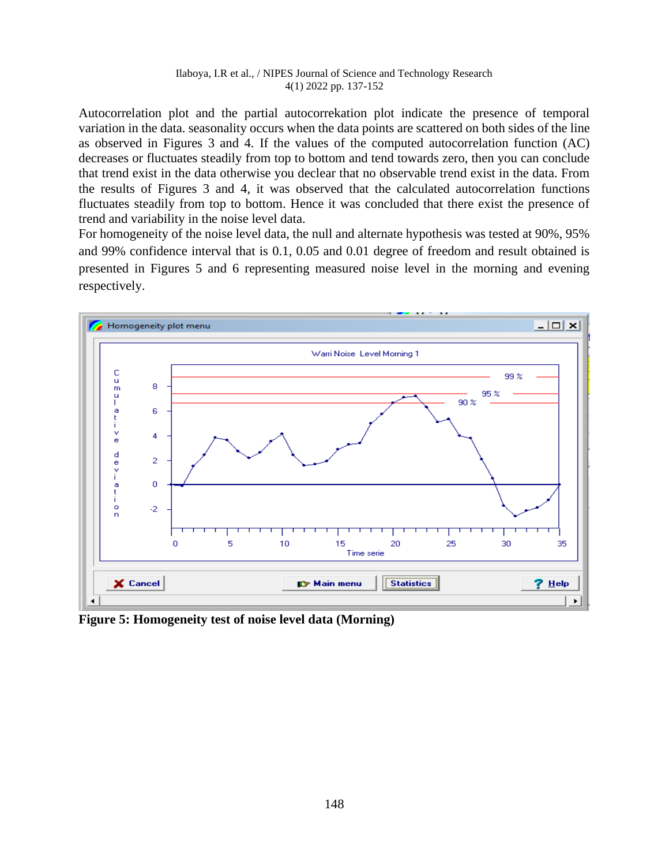Autocorrelation plot and the partial autocorrekation plot indicate the presence of temporal variation in the data. seasonality occurs when the data points are scattered on both sides of the line as observed in Figures 3 and 4. If the values of the computed autocorrelation function (AC) decreases or fluctuates steadily from top to bottom and tend towards zero, then you can conclude that trend exist in the data otherwise you declear that no observable trend exist in the data. From the results of Figures 3 and 4, it was observed that the calculated autocorrelation functions fluctuates steadily from top to bottom. Hence it was concluded that there exist the presence of trend and variability in the noise level data.

For homogeneity of the noise level data, the null and alternate hypothesis was tested at 90%, 95% and 99% confidence interval that is 0.1, 0.05 and 0.01 degree of freedom and result obtained is presented in Figures 5 and 6 representing measured noise level in the morning and evening respectively.



**Figure 5: Homogeneity test of noise level data (Morning)**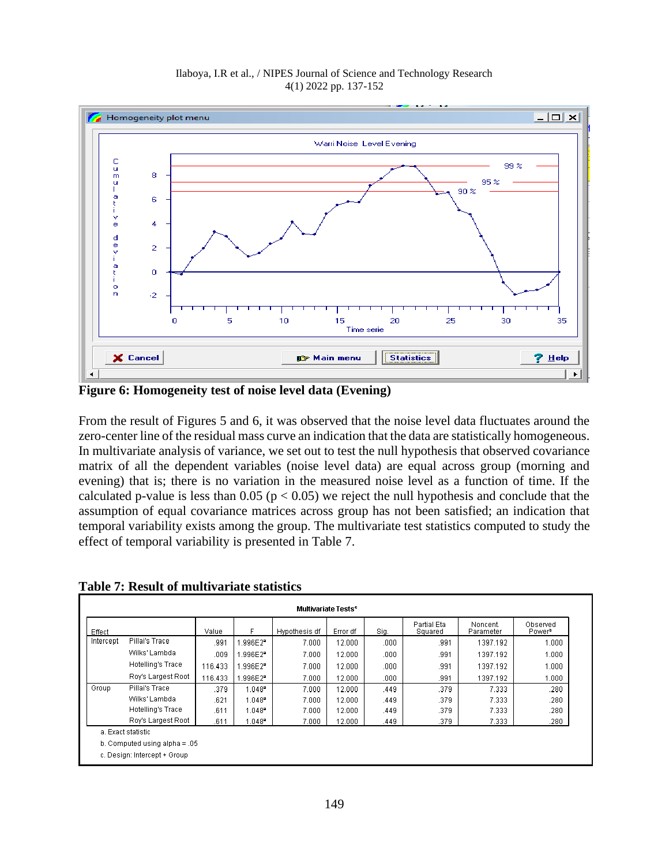

**Figure 6: Homogeneity test of noise level data (Evening)**

From the result of Figures 5 and 6, it was observed that the noise level data fluctuates around the zero-center line of the residual mass curve an indication that the data are statistically homogeneous. In multivariate analysis of variance, we set out to test the null hypothesis that observed covariance matrix of all the dependent variables (noise level data) are equal across group (morning and evening) that is; there is no variation in the measured noise level as a function of time. If the calculated p-value is less than  $0.05$  ( $p < 0.05$ ) we reject the null hypothesis and conclude that the assumption of equal covariance matrices across group has not been satisfied; an indication that temporal variability exists among the group. The multivariate test statistics computed to study the effect of temporal variability is presented in Table 7.

| Effect                          |                          | Value   |                       | Hypothesis df | Error df | Sig. | Partial Eta<br>Squared | Noncent.<br>Parameter | Observed<br>Power <sup>b</sup> |
|---------------------------------|--------------------------|---------|-----------------------|---------------|----------|------|------------------------|-----------------------|--------------------------------|
| Intercept                       | Pillai's Trace           | .991    | .996E2 <sup>*</sup>   | 7.000         | 12.000   | .000 | .991                   | 1397.192              | 0.000                          |
|                                 | Wilks' Lambda            | .009    | .996E2 <sup>*</sup>   | 7.000         | 12.000   | .000 | .991                   | 1397.192              | 1.000                          |
|                                 | Hotelling's Trace        | 116.433 | .996E2ª               | 7.000         | 12.000   | .000 | .991                   | 1397.192              | 1.000                          |
|                                 | Roy's Largest Root       | 116.433 | $.996E2$ <sup>2</sup> | 7.000         | 12.000   | .000 | .991                   | 1397.192              | 1.000                          |
| Group                           | Pillai's Trace           | .379    | $1.048^{\circ}$       | 7.000         | 12.000   | .449 | .379                   | 7.333                 | .280                           |
|                                 | Wilks' Lambda            | .621    | $1.048$ <sup>2</sup>  | 7.000         | 12.000   | .449 | .379                   | 7.333                 | .280                           |
|                                 | <b>Hotelling's Trace</b> | .611    | $1.048$ <sup>2</sup>  | 7.000         | 12.000   | .449 | .379                   | 7.333                 | .280                           |
|                                 | Roy's Largest Root       | .611    | l.048ª                | 7.000         | 12.000   | .449 | .379                   | 7.333                 | .280                           |
| a. Exact statistic              |                          |         |                       |               |          |      |                        |                       |                                |
| b. Computed using alpha = $.05$ |                          |         |                       |               |          |      |                        |                       |                                |

**Table 7: Result of multivariate statistics**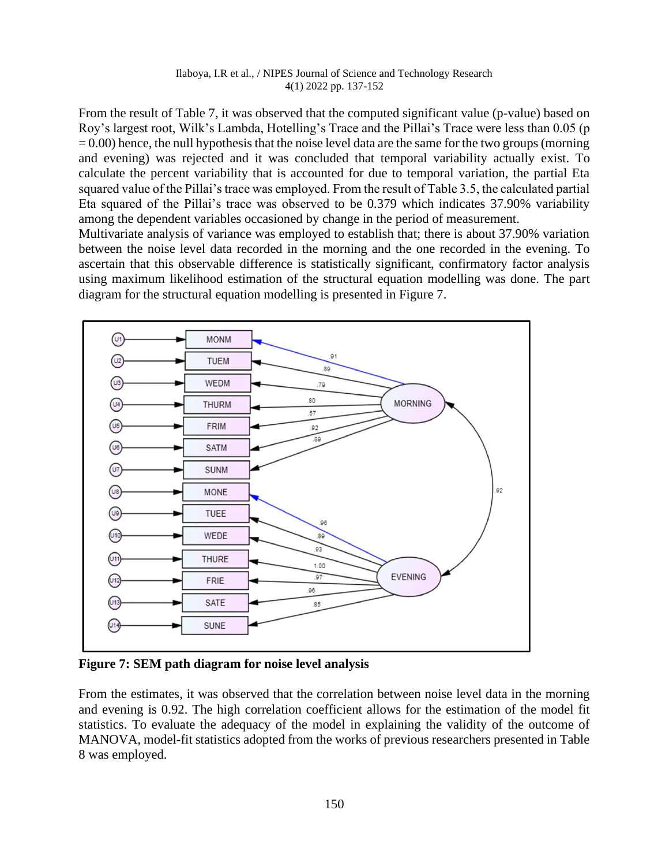From the result of Table 7, it was observed that the computed significant value (p-value) based on Roy's largest root, Wilk's Lambda, Hotelling's Trace and the Pillai's Trace were less than 0.05 (p  $= 0.00$ ) hence, the null hypothesis that the noise level data are the same for the two groups (morning and evening) was rejected and it was concluded that temporal variability actually exist. To calculate the percent variability that is accounted for due to temporal variation, the partial Eta squared value of the Pillai's trace was employed. From the result of Table 3.5, the calculated partial Eta squared of the Pillai's trace was observed to be 0.379 which indicates 37.90% variability among the dependent variables occasioned by change in the period of measurement.

Multivariate analysis of variance was employed to establish that; there is about 37.90% variation between the noise level data recorded in the morning and the one recorded in the evening. To ascertain that this observable difference is statistically significant, confirmatory factor analysis using maximum likelihood estimation of the structural equation modelling was done. The part diagram for the structural equation modelling is presented in Figure 7.



**Figure 7: SEM path diagram for noise level analysis**

From the estimates, it was observed that the correlation between noise level data in the morning and evening is 0.92. The high correlation coefficient allows for the estimation of the model fit statistics. To evaluate the adequacy of the model in explaining the validity of the outcome of MANOVA, model-fit statistics adopted from the works of previous researchers presented in Table 8 was employed.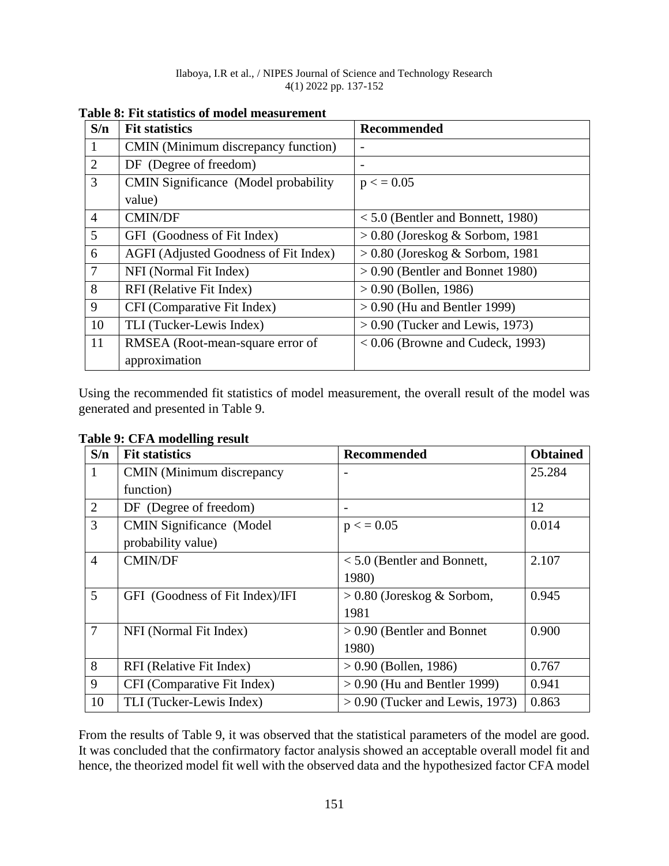| S/n            | <b>Fit statistics</b>                        | <b>Recommended</b>                  |  |  |  |  |
|----------------|----------------------------------------------|-------------------------------------|--|--|--|--|
| 1              | CMIN (Minimum discrepancy function)          |                                     |  |  |  |  |
| 2              | DF (Degree of freedom)                       |                                     |  |  |  |  |
| 3              | <b>CMIN Significance</b> (Model probability) | $p \lt 0.05$                        |  |  |  |  |
|                | value)                                       |                                     |  |  |  |  |
| $\overline{4}$ | <b>CMIN/DF</b>                               | $< 5.0$ (Bentler and Bonnett, 1980) |  |  |  |  |
| $\overline{5}$ | GFI (Goodness of Fit Index)                  | $> 0.80$ (Joreskog & Sorbom, 1981)  |  |  |  |  |
| 6              | AGFI (Adjusted Goodness of Fit Index)        | $> 0.80$ (Joreskog & Sorbom, 1981)  |  |  |  |  |
| $\overline{7}$ | NFI (Normal Fit Index)                       | $> 0.90$ (Bentler and Bonnet 1980)  |  |  |  |  |
| 8              | RFI (Relative Fit Index)                     | $> 0.90$ (Bollen, 1986)             |  |  |  |  |
| 9              | CFI (Comparative Fit Index)                  | $> 0.90$ (Hu and Bentler 1999)      |  |  |  |  |
| 10             | TLI (Tucker-Lewis Index)                     | $> 0.90$ (Tucker and Lewis, 1973)   |  |  |  |  |
| 11             | RMSEA (Root-mean-square error of             | $< 0.06$ (Browne and Cudeck, 1993)  |  |  |  |  |
|                | approximation                                |                                     |  |  |  |  |

**Table 8: Fit statistics of model measurement** 

Using the recommended fit statistics of model measurement, the overall result of the model was generated and presented in Table 9.

| S/n            | <b>Fit statistics</b>            | <b>Recommended</b>                | <b>Obtained</b> |
|----------------|----------------------------------|-----------------------------------|-----------------|
|                | <b>CMIN</b> (Minimum discrepancy |                                   | 25.284          |
|                | function)                        |                                   |                 |
| 2              | DF (Degree of freedom)           |                                   | 12              |
| 3              | <b>CMIN Significance (Model)</b> | $p \lt 0.05$                      | 0.014           |
|                | probability value)               |                                   |                 |
| $\overline{4}$ | <b>CMIN/DF</b>                   | $< 5.0$ (Bentler and Bonnett,     | 2.107           |
|                |                                  | 1980)                             |                 |
| $\overline{5}$ | GFI (Goodness of Fit Index)/IFI  | $> 0.80$ (Joreskog & Sorbom,      | 0.945           |
|                |                                  | 1981                              |                 |
| $\overline{7}$ | NFI (Normal Fit Index)           | $> 0.90$ (Bentler and Bonnet      | 0.900           |
|                |                                  | 1980)                             |                 |
| 8              | RFI (Relative Fit Index)         | $> 0.90$ (Bollen, 1986)           | 0.767           |
| 9              | CFI (Comparative Fit Index)      | $> 0.90$ (Hu and Bentler 1999)    | 0.941           |
| 10             | TLI (Tucker-Lewis Index)         | $> 0.90$ (Tucker and Lewis, 1973) | 0.863           |

**Table 9: CFA modelling result**

From the results of Table 9, it was observed that the statistical parameters of the model are good. It was concluded that the confirmatory factor analysis showed an acceptable overall model fit and hence, the theorized model fit well with the observed data and the hypothesized factor CFA model